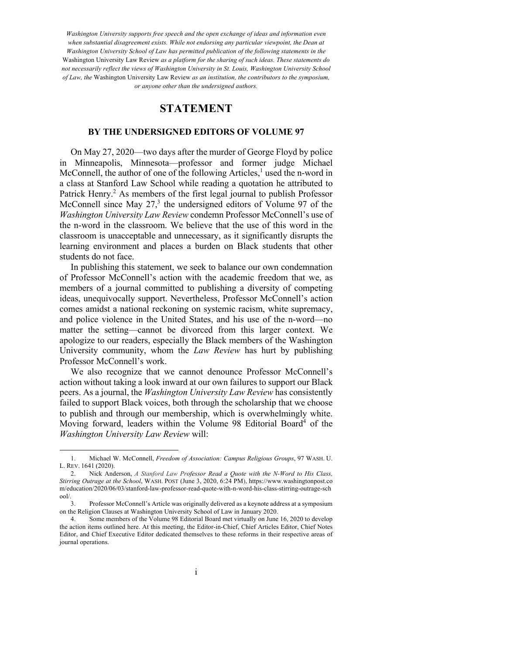*Washington University supports free speech and the open exchange of ideas and information even when substantial disagreement exists. While not endorsing any particular viewpoint, the Dean at Washington University School of Law has permitted publication of the following statements in the* Washington University Law Review *as a platform for the sharing of such ideas. These statements do not necessarily reflect the views of Washington University in St. Louis, Washington University School of Law, the* Washington University Law Review *as an institution, the contributors to the symposium, or anyone other than the undersigned authors.*

## **STATEMENT**

## **BY THE UNDERSIGNED EDITORS OF VOLUME 97**

On May 27, 2020—two days after the murder of George Floyd by police in Minneapolis, Minnesota—professor and former judge Michael McConnell, the author of one of the following Articles, $<sup>1</sup>$  used the n-word in</sup> a class at Stanford Law School while reading a quotation he attributed to Patrick Henry.<sup>2</sup> As members of the first legal journal to publish Professor McConnell since May  $27<sup>3</sup>$ , the undersigned editors of Volume 97 of the *Washington University Law Review* condemn Professor McConnell's use of the n-word in the classroom. We believe that the use of this word in the classroom is unacceptable and unnecessary, as it significantly disrupts the learning environment and places a burden on Black students that other students do not face.

In publishing this statement, we seek to balance our own condemnation of Professor McConnell's action with the academic freedom that we, as members of a journal committed to publishing a diversity of competing ideas, unequivocally support. Nevertheless, Professor McConnell's action comes amidst a national reckoning on systemic racism, white supremacy, and police violence in the United States, and his use of the n-word—no matter the setting—cannot be divorced from this larger context. We apologize to our readers, especially the Black members of the Washington University community, whom the *Law Review* has hurt by publishing Professor McConnell's work.

We also recognize that we cannot denounce Professor McConnell's action without taking a look inward at our own failures to support our Black peers. As a journal, the *Washington University Law Review* has consistently failed to support Black voices, both through the scholarship that we choose to publish and through our membership, which is overwhelmingly white. Moving forward, leaders within the Volume 98 Editorial Board<sup>4</sup> of the *Washington University Law Review* will:

<sup>1.</sup> Michael W. McConnell, *Freedom of Association: Campus Religious Groups*, 97 WASH. U. L. REV. 1641 (2020).

<sup>2.</sup> Nick Anderson, *A Stanford Law Professor Read a Quote with the N-Word to His Class, Stirring Outrage at the School*, WASH. POST (June 3, 2020, 6:24 PM), https://www.washingtonpost.co m/education/2020/06/03/stanford-law-professor-read-quote-with-n-word-his-class-stirring-outrage-sch ool/.

Professor McConnell's Article was originally delivered as a keynote address at a symposium on the Religion Clauses at Washington University School of Law in January 2020.

<sup>4.</sup> Some members of the Volume 98 Editorial Board met virtually on June 16, 2020 to develop the action items outlined here. At this meeting, the Editor-in-Chief, Chief Articles Editor, Chief Notes Editor, and Chief Executive Editor dedicated themselves to these reforms in their respective areas of journal operations.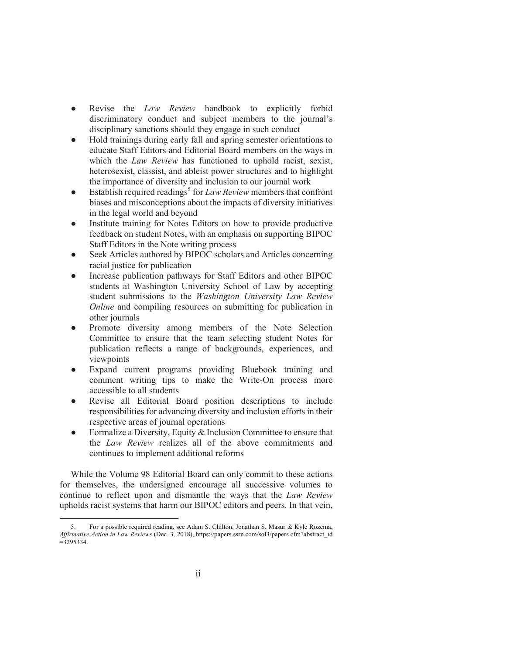- Revise the *Law Review* handbook to explicitly forbid discriminatory conduct and subject members to the journal's disciplinary sanctions should they engage in such conduct
- Hold trainings during early fall and spring semester orientations to educate Staff Editors and Editorial Board members on the ways in which the *Law Review* has functioned to uphold racist, sexist, heterosexist, classist, and ableist power structures and to highlight the importance of diversity and inclusion to our journal work
- Establish required readings<sup>5</sup> for *Law Review* members that confront biases and misconceptions about the impacts of diversity initiatives in the legal world and beyond
- Institute training for Notes Editors on how to provide productive feedback on student Notes, with an emphasis on supporting BIPOC Staff Editors in the Note writing process
- Seek Articles authored by BIPOC scholars and Articles concerning racial justice for publication
- Increase publication pathways for Staff Editors and other BIPOC students at Washington University School of Law by accepting student submissions to the *Washington University Law Review Online* and compiling resources on submitting for publication in other journals
- Promote diversity among members of the Note Selection Committee to ensure that the team selecting student Notes for publication reflects a range of backgrounds, experiences, and viewpoints
- Expand current programs providing Bluebook training and comment writing tips to make the Write-On process more accessible to all students
- Revise all Editorial Board position descriptions to include responsibilities for advancing diversity and inclusion efforts in their respective areas of journal operations
- Formalize a Diversity, Equity & Inclusion Committee to ensure that the *Law Review* realizes all of the above commitments and continues to implement additional reforms

While the Volume 98 Editorial Board can only commit to these actions for themselves, the undersigned encourage all successive volumes to continue to reflect upon and dismantle the ways that the *Law Review* upholds racist systems that harm our BIPOC editors and peers. In that vein,

<sup>5.</sup> For a possible required reading, see Adam S. Chilton, Jonathan S. Masur & Kyle Rozema, *Affirmative Action in Law Reviews* (Dec. 3, 2018), https://papers.ssrn.com/sol3/papers.cfm?abstract\_id =3295334.